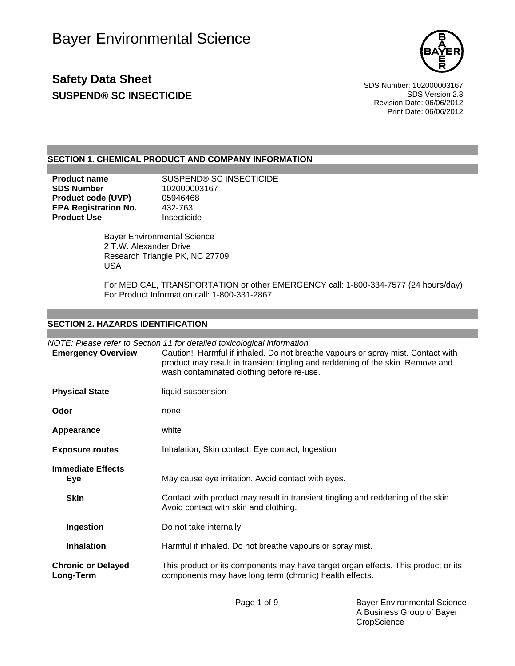

# **Safety Data Sheet** Service Superintending the SDS Number: 102000003167 **SUSPEND® SC INSECTICIDE SUSPEND® SC INSECTICIDE**

Revision Date: 06/06/2012 Print Date: 06/06/2012

#### **SECTION 1. CHEMICAL PRODUCT AND COMPANY INFORMATION**

| <b>Product name</b>         | SUSPEND® SC INSECTICIDE |
|-----------------------------|-------------------------|
| <b>SDS Number</b>           | 102000003167            |
| <b>Product code (UVP)</b>   | 05946468                |
| <b>EPA Registration No.</b> | 432-763                 |
| <b>Product Use</b>          | Insecticide             |

 Bayer Environmental Science 2 T.W. Alexander Drive Research Triangle PK, NC 27709 USA

For MEDICAL, TRANSPORTATION or other EMERGENCY call: 1-800-334-7577 (24 hours/day) For Product Information call: 1-800-331-2867

### **SECTION 2. HAZARDS IDENTIFICATION**

|                                        | NOTE: Please refer to Section 11 for detailed toxicological information.                                                                                                                                       |
|----------------------------------------|----------------------------------------------------------------------------------------------------------------------------------------------------------------------------------------------------------------|
| <b>Emergency Overview</b>              | Caution! Harmful if inhaled. Do not breathe vapours or spray mist. Contact with<br>product may result in transient tingling and reddening of the skin. Remove and<br>wash contaminated clothing before re-use. |
| <b>Physical State</b>                  | liquid suspension                                                                                                                                                                                              |
| Odor                                   | none                                                                                                                                                                                                           |
| Appearance                             | white                                                                                                                                                                                                          |
| <b>Exposure routes</b>                 | Inhalation, Skin contact, Eye contact, Ingestion                                                                                                                                                               |
| <b>Immediate Effects</b><br><b>Eye</b> | May cause eye irritation. Avoid contact with eyes.                                                                                                                                                             |
| <b>Skin</b>                            | Contact with product may result in transient tingling and reddening of the skin.<br>Avoid contact with skin and clothing.                                                                                      |
| Ingestion                              | Do not take internally.                                                                                                                                                                                        |
| <b>Inhalation</b>                      | Harmful if inhaled. Do not breathe vapours or spray mist.                                                                                                                                                      |
| <b>Chronic or Delayed</b><br>Long-Term | This product or its components may have target organ effects. This product or its<br>components may have long term (chronic) health effects.                                                                   |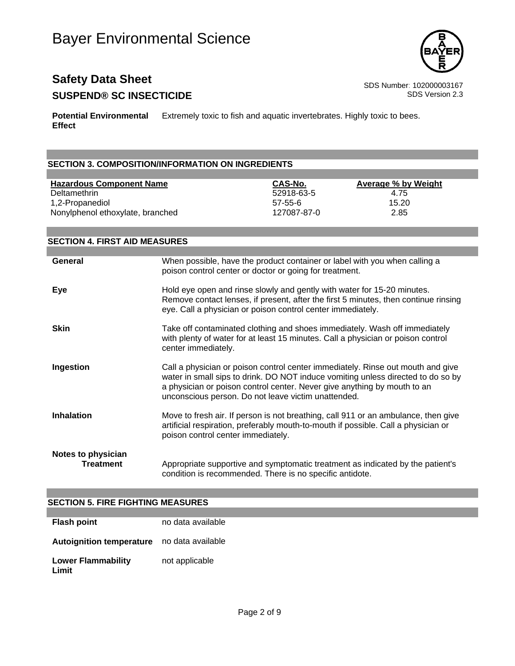

## **Safety Data Sheet** Service Superintending the SDS Number: 102000003167 **SUSPEND® SC INSECTICIDE SUSPEND®** SC INSECTICIDE

**Potential Environmental Effect** Extremely toxic to fish and aquatic invertebrates. Highly toxic to bees.

### **SECTION 3. COMPOSITION/INFORMATION ON INGREDIENTS**

#### **Hazardous Component Name CAS-No. Average % by Weight**

Deltamethrin 52918-63-5 4.75 1,2-Propanediol 57-55-6 15.20 Nonylphenol ethoxylate, branched 127087-87-0 2.85

**SECTION 4. FIRST AID MEASURES General** When possible, have the product container or label with you when calling a poison control center or doctor or going for treatment. **Eye Eye Example 3** Hold eye open and rinse slowly and gently with water for 15-20 minutes. Remove contact lenses, if present, after the first 5 minutes, then continue rinsing eye. Call a physician or poison control center immediately. **Skin** Take off contaminated clothing and shoes immediately. Wash off immediately with plenty of water for at least 15 minutes. Call a physician or poison control center immediately. **Ingestion** Call a physician or poison control center immediately. Rinse out mouth and give water in small sips to drink. DO NOT induce vomiting unless directed to do so by a physician or poison control center. Never give anything by mouth to an unconscious person. Do not leave victim unattended. **Inhalation** Move to fresh air. If person is not breathing, call 911 or an ambulance, then give artificial respiration, preferably mouth-to-mouth if possible. Call a physician or poison control center immediately. **Notes to physician Treatment** Appropriate supportive and symptomatic treatment as indicated by the patient's condition is recommended. There is no specific antidote.

#### **SECTION 5. FIRE FIGHTING MEASURES**

| <b>Flash point</b>                         | no data available |
|--------------------------------------------|-------------------|
| Autoignition temperature no data available |                   |
| <b>Lower Flammability</b><br>Limit         | not applicable    |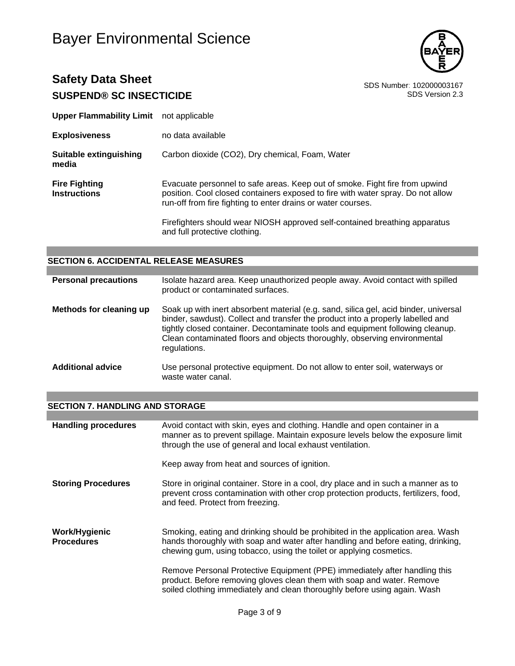# Bayer Environmental Science



## **Safety Data Sheet**<br>
SDS Number: 102000003167<br>
SDS Version 2.3 **SUSPEND® SC INSECTICIDE**

| <b>Upper Flammability Limit</b> not applicable |                                                                                                                                                                                                                                |
|------------------------------------------------|--------------------------------------------------------------------------------------------------------------------------------------------------------------------------------------------------------------------------------|
| <b>Explosiveness</b>                           | no data available                                                                                                                                                                                                              |
| Suitable extinguishing<br>media                | Carbon dioxide (CO2), Dry chemical, Foam, Water                                                                                                                                                                                |
| <b>Fire Fighting</b><br>Instructions           | Evacuate personnel to safe areas. Keep out of smoke. Fight fire from upwind<br>position. Cool closed containers exposed to fire with water spray. Do not allow<br>run-off from fire fighting to enter drains or water courses. |
|                                                | Firefighters should wear NIOSH approved self-contained breathing apparatus<br>and full protective clothing.                                                                                                                    |

#### **SECTION 6. ACCIDENTAL RELEASE MEASURES**

| <b>Personal precautions</b> | Isolate hazard area. Keep unauthorized people away. Avoid contact with spilled<br>product or contaminated surfaces.                                                                                                                                                                                                                                    |
|-----------------------------|--------------------------------------------------------------------------------------------------------------------------------------------------------------------------------------------------------------------------------------------------------------------------------------------------------------------------------------------------------|
| Methods for cleaning up     | Soak up with inert absorbent material (e.g. sand, silica gel, acid binder, universal<br>binder, sawdust). Collect and transfer the product into a properly labelled and<br>tightly closed container. Decontaminate tools and equipment following cleanup.<br>Clean contaminated floors and objects thoroughly, observing environmental<br>regulations. |
| <b>Additional advice</b>    | Use personal protective equipment. Do not allow to enter soil, waterways or<br>waste water canal.                                                                                                                                                                                                                                                      |

#### **SECTION 7. HANDLING AND STORAGE**

| <b>Handling procedures</b>         | Avoid contact with skin, eyes and clothing. Handle and open container in a<br>manner as to prevent spillage. Maintain exposure levels below the exposure limit<br>through the use of general and local exhaust ventilation.                |
|------------------------------------|--------------------------------------------------------------------------------------------------------------------------------------------------------------------------------------------------------------------------------------------|
|                                    | Keep away from heat and sources of ignition.                                                                                                                                                                                               |
| <b>Storing Procedures</b>          | Store in original container. Store in a cool, dry place and in such a manner as to<br>prevent cross contamination with other crop protection products, fertilizers, food,<br>and feed. Protect from freezing.                              |
| Work/Hygienic<br><b>Procedures</b> | Smoking, eating and drinking should be prohibited in the application area. Wash<br>hands thoroughly with soap and water after handling and before eating, drinking,<br>chewing gum, using tobacco, using the toilet or applying cosmetics. |
|                                    | Remove Personal Protective Equipment (PPE) immediately after handling this<br>product. Before removing gloves clean them with soap and water. Remove<br>soiled clothing immediately and clean thoroughly before using again. Wash          |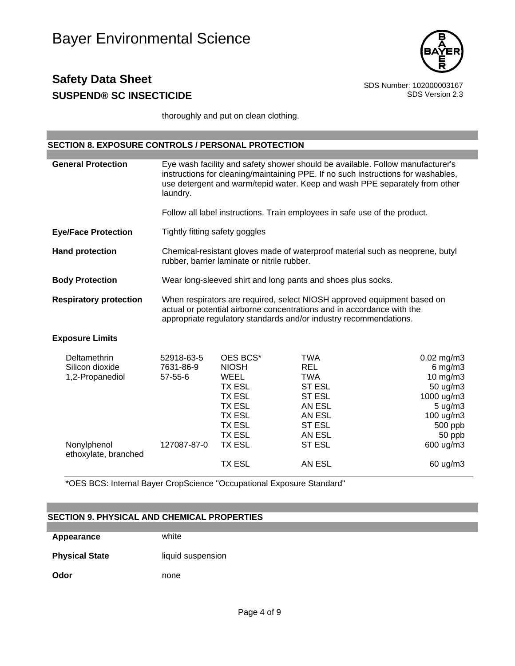

thoroughly and put on clean clothing.

#### **SECTION 8. EXPOSURE CONTROLS / PERSONAL PROTECTION**

| <b>General Protection</b>     | Eye wash facility and safety shower should be available. Follow manufacturer's<br>instructions for cleaning/maintaining PPE. If no such instructions for washables,<br>use detergent and warm/tepid water. Keep and wash PPE separately from other<br>laundry. |
|-------------------------------|----------------------------------------------------------------------------------------------------------------------------------------------------------------------------------------------------------------------------------------------------------------|
|                               | Follow all label instructions. Train employees in safe use of the product.                                                                                                                                                                                     |
| <b>Eye/Face Protection</b>    | Tightly fitting safety goggles                                                                                                                                                                                                                                 |
| <b>Hand protection</b>        | Chemical-resistant gloves made of waterproof material such as neoprene, butyl<br>rubber, barrier laminate or nitrile rubber.                                                                                                                                   |
| <b>Body Protection</b>        | Wear long-sleeved shirt and long pants and shoes plus socks.                                                                                                                                                                                                   |
| <b>Respiratory protection</b> | When respirators are required, select NIOSH approved equipment based on<br>actual or potential airborne concentrations and in accordance with the<br>appropriate regulatory standards and/or industry recommendations.                                         |
| <b>Exposure Limits</b>        |                                                                                                                                                                                                                                                                |

| Deltamethrin                        | 52918-63-5    | OES BCS*      | TWA           | $0.02$ mg/m3        |
|-------------------------------------|---------------|---------------|---------------|---------------------|
| Silicon dioxide                     | 7631-86-9     | <b>NIOSH</b>  | REL.          | $6$ mg/m $3$        |
| 1,2-Propanediol                     | $57 - 55 - 6$ | WEEL          | TWA           | $10 \text{ mg/m}$   |
|                                     |               | <b>TX ESL</b> | <b>ST ESL</b> | $50 \text{ ug/m}$ 3 |
|                                     |               | <b>TX ESL</b> | ST ESL        | 1000 ug/m3          |
|                                     |               | <b>TX ESL</b> | AN ESL        | $5 \text{ ug/m}$ 3  |
|                                     |               | <b>TX ESL</b> | AN ESL        | $100 \text{ u}g/m3$ |
|                                     |               | TX ESL        | ST ESL        | 500 ppb             |
|                                     |               | TX ESL        | AN ESL        | 50 ppb              |
| Nonylphenol<br>ethoxylate, branched | 127087-87-0   | TX ESL        | ST ESL        | 600 ug/m3           |
|                                     |               | <b>TX ESL</b> | AN ESL        | 60 ug/m3            |

\*OES BCS: Internal Bayer CropScience "Occupational Exposure Standard"

#### **SECTION 9. PHYSICAL AND CHEMICAL PROPERTIES**

**Appearance** white

**Physical State** liquid suspension

**Odor** none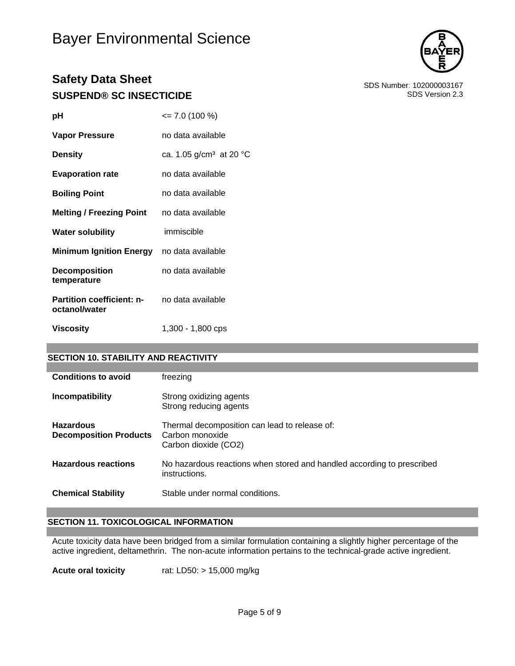# Bayer Environmental Science



## **Safety Data Sheet**<br>SDS Number: 102000003167<br>SDS Version 2.3 **SUSPEND® SC INSECTICIDE**

| рH                                                | $\leq$ 7.0 (100 %)         |
|---------------------------------------------------|----------------------------|
| <b>Vapor Pressure</b>                             | no data available          |
| <b>Density</b>                                    | ca. 1.05 $g/cm^3$ at 20 °C |
| <b>Evaporation rate</b>                           | no data available          |
| <b>Boiling Point</b>                              | no data available          |
| <b>Melting / Freezing Point</b> no data available |                            |
| <b>Water solubility</b>                           | immiscible                 |
| Minimum Ignition Energy no data available         |                            |
| <b>Decomposition</b><br>temperature               | no data available          |
| <b>Partition coefficient: n-</b><br>octanol/water | no data available          |
| <b>Viscosity</b>                                  | 1,300 - 1,800 cps          |

#### **SECTION 10. STABILITY AND REACTIVITY**

| <b>Conditions to avoid</b>                        | freezing                                                                                 |
|---------------------------------------------------|------------------------------------------------------------------------------------------|
| Incompatibility                                   | Strong oxidizing agents<br>Strong reducing agents                                        |
| <b>Hazardous</b><br><b>Decomposition Products</b> | Thermal decomposition can lead to release of:<br>Carbon monoxide<br>Carbon dioxide (CO2) |
| <b>Hazardous reactions</b>                        | No hazardous reactions when stored and handled according to prescribed<br>instructions.  |
| <b>Chemical Stability</b>                         | Stable under normal conditions.                                                          |

#### **SECTION 11. TOXICOLOGICAL INFORMATION**

Acute toxicity data have been bridged from a similar formulation containing a slightly higher percentage of the active ingredient, deltamethrin. The non-acute information pertains to the technical-grade active ingredient.

**Acute oral toxicity** rat: LD50: > 15,000 mg/kg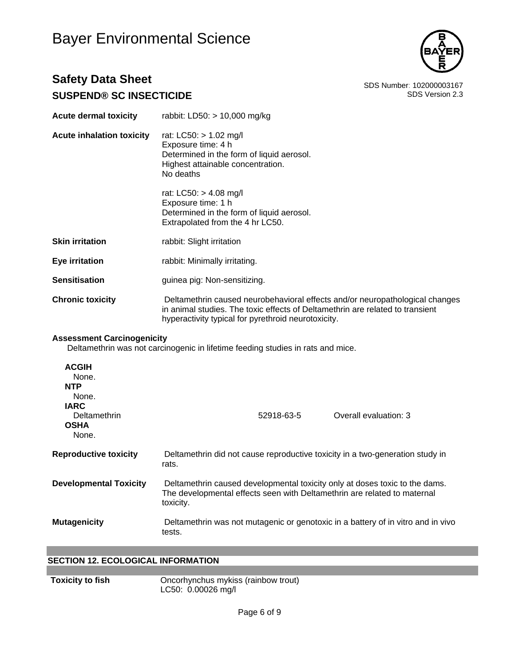# Bayer Environmental Science



### **Safety Data Sheet**<br>
SDS Number: 102000003167<br>
SDS Version 2.3 **SUSPEND® SC INSECTICIDE**

| <b>Acute dermal toxicity</b>                                                                                         | rabbit: LD50: > 10,000 mg/kg                                                                                                                                                                                         |  |
|----------------------------------------------------------------------------------------------------------------------|----------------------------------------------------------------------------------------------------------------------------------------------------------------------------------------------------------------------|--|
| <b>Acute inhalation toxicity</b>                                                                                     | rat: LC50: > 1.02 mg/l<br>Exposure time: 4 h<br>Determined in the form of liquid aerosol.<br>Highest attainable concentration.<br>No deaths                                                                          |  |
|                                                                                                                      | rat: LC50: > 4.08 mg/l<br>Exposure time: 1 h<br>Determined in the form of liquid aerosol.<br>Extrapolated from the 4 hr LC50.                                                                                        |  |
| <b>Skin irritation</b>                                                                                               | rabbit: Slight irritation                                                                                                                                                                                            |  |
| <b>Eye irritation</b>                                                                                                | rabbit: Minimally irritating.                                                                                                                                                                                        |  |
| <b>Sensitisation</b>                                                                                                 | guinea pig: Non-sensitizing.                                                                                                                                                                                         |  |
| <b>Chronic toxicity</b>                                                                                              | Deltamethrin caused neurobehavioral effects and/or neuropathological changes<br>in animal studies. The toxic effects of Deltamethrin are related to transient<br>hyperactivity typical for pyrethroid neurotoxicity. |  |
| <b>Assessment Carcinogenicity</b><br>Deltamethrin was not carcinogenic in lifetime feeding studies in rats and mice. |                                                                                                                                                                                                                      |  |
| <b>ACGIH</b><br>None.<br><b>NTP</b><br>None.<br><b>IARC</b><br>Deltamethrin<br><b>OSHA</b>                           | 52918-63-5<br>Overall evaluation: 3                                                                                                                                                                                  |  |
| None.                                                                                                                |                                                                                                                                                                                                                      |  |
| <b>Reproductive toxicity</b>                                                                                         | Deltamethrin did not cause reproductive toxicity in a two-generation study in<br>rats.                                                                                                                               |  |
| <b>Developmental Toxicity</b>                                                                                        | Deltamethrin caused developmental toxicity only at doses toxic to the dams.<br>The developmental effects seen with Deltamethrin are related to maternal<br>toxicity.                                                 |  |

**Mutagenicity** Deltamethrin was not mutagenic or genotoxic in a battery of in vitro and in vivo tests.

#### **SECTION 12. ECOLOGICAL INFORMATION**

**Toxicity to fish Christian Concorhynchus mykiss (rainbow trout)** LC50: 0.00026 mg/l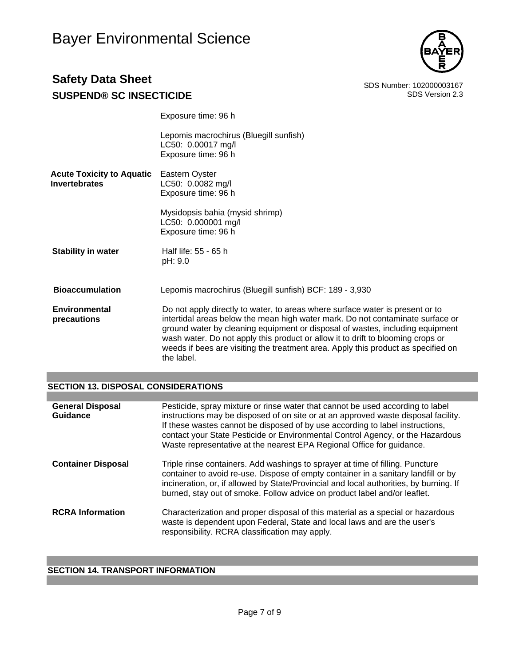

Exposure time: 96 h

|                                                          | Lepomis macrochirus (Bluegill sunfish)<br>LC50: 0.00017 mg/l<br>Exposure time: 96 h                                                                                                                                                                                                                                                                                                                                                    |
|----------------------------------------------------------|----------------------------------------------------------------------------------------------------------------------------------------------------------------------------------------------------------------------------------------------------------------------------------------------------------------------------------------------------------------------------------------------------------------------------------------|
| <b>Acute Toxicity to Aquatic</b><br><b>Invertebrates</b> | Eastern Oyster<br>LC50: 0.0082 mg/l<br>Exposure time: 96 h                                                                                                                                                                                                                                                                                                                                                                             |
|                                                          | Mysidopsis bahia (mysid shrimp)<br>LC50: 0.000001 mg/l<br>Exposure time: 96 h                                                                                                                                                                                                                                                                                                                                                          |
| <b>Stability in water</b>                                | Half life: 55 - 65 h<br>pH: 9.0                                                                                                                                                                                                                                                                                                                                                                                                        |
| <b>Bioaccumulation</b>                                   | Lepomis macrochirus (Bluegill sunfish) BCF: 189 - 3,930                                                                                                                                                                                                                                                                                                                                                                                |
| Environmental<br>precautions                             | Do not apply directly to water, to areas where surface water is present or to<br>intertidal areas below the mean high water mark. Do not contaminate surface or<br>ground water by cleaning equipment or disposal of wastes, including equipment<br>wash water. Do not apply this product or allow it to drift to blooming crops or<br>weeds if bees are visiting the treatment area. Apply this product as specified on<br>the label. |

### **SECTION 13. DISPOSAL CONSIDERATIONS**

| <b>General Disposal</b><br>Guidance | Pesticide, spray mixture or rinse water that cannot be used according to label<br>instructions may be disposed of on site or at an approved waste disposal facility.<br>If these wastes cannot be disposed of by use according to label instructions,<br>contact your State Pesticide or Environmental Control Agency, or the Hazardous<br>Waste representative at the nearest EPA Regional Office for guidance. |
|-------------------------------------|------------------------------------------------------------------------------------------------------------------------------------------------------------------------------------------------------------------------------------------------------------------------------------------------------------------------------------------------------------------------------------------------------------------|
| <b>Container Disposal</b>           | Triple rinse containers. Add washings to sprayer at time of filling. Puncture<br>container to avoid re-use. Dispose of empty container in a sanitary landfill or by<br>incineration, or, if allowed by State/Provincial and local authorities, by burning. If<br>burned, stay out of smoke. Follow advice on product label and/or leaflet.                                                                       |
| <b>RCRA Information</b>             | Characterization and proper disposal of this material as a special or hazardous<br>waste is dependent upon Federal, State and local laws and are the user's<br>responsibility. RCRA classification may apply.                                                                                                                                                                                                    |

### **SECTION 14. TRANSPORT INFORMATION**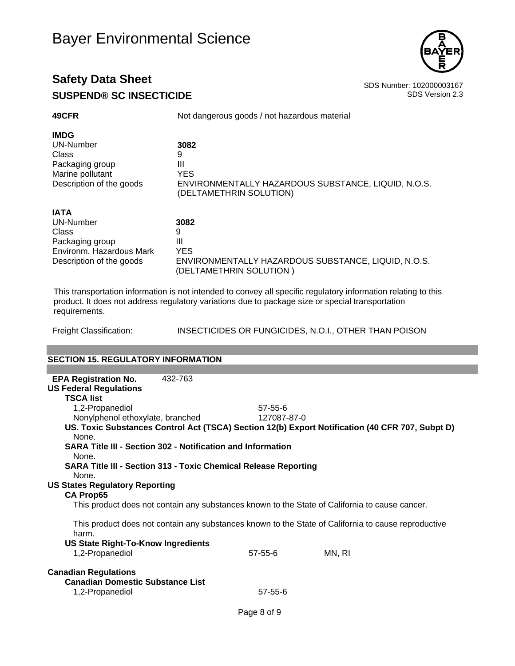

| 49CFR                    | Not dangerous goods / not hazardous material                                   |  |  |
|--------------------------|--------------------------------------------------------------------------------|--|--|
| <b>IMDG</b>              |                                                                                |  |  |
| UN-Number                | 3082                                                                           |  |  |
| Class                    | 9                                                                              |  |  |
| Packaging group          | Ш                                                                              |  |  |
| Marine pollutant         | <b>YES</b>                                                                     |  |  |
| Description of the goods | ENVIRONMENTALLY HAZARDOUS SUBSTANCE, LIQUID, N.O.S.<br>(DELTAMETHRIN SOLUTION) |  |  |
| <b>IATA</b>              |                                                                                |  |  |
| UN-Number                | 3082                                                                           |  |  |
| Class                    | 9                                                                              |  |  |
| Packaging group          | Ш                                                                              |  |  |
| Environm. Hazardous Mark | <b>YES</b>                                                                     |  |  |
| Description of the goods | ENVIRONMENTALLY HAZARDOUS SUBSTANCE, LIQUID, N.O.S.<br>(DELTAMETHRIN SOLUTION) |  |  |

This transportation information is not intended to convey all specific regulatory information relating to this product. It does not address regulatory variations due to package size or special transportation requirements.

Freight Classification: INSECTICIDES OR FUNGICIDES, N.O.I., OTHER THAN POISON

#### **SECTION 15. REGULATORY INFORMATION**

| <b>EPA Registration No.</b><br>432-763                                                                       |               |        |  |  |  |  |
|--------------------------------------------------------------------------------------------------------------|---------------|--------|--|--|--|--|
| <b>US Federal Regulations</b>                                                                                |               |        |  |  |  |  |
| <b>TSCA list</b>                                                                                             |               |        |  |  |  |  |
| 1,2-Propanediol                                                                                              | $57 - 55 - 6$ |        |  |  |  |  |
| Nonylphenol ethoxylate, branched                                                                             | 127087-87-0   |        |  |  |  |  |
| US. Toxic Substances Control Act (TSCA) Section 12(b) Export Notification (40 CFR 707, Subpt D)              |               |        |  |  |  |  |
| None.                                                                                                        |               |        |  |  |  |  |
| <b>SARA Title III - Section 302 - Notification and Information</b><br>None.                                  |               |        |  |  |  |  |
| <b>SARA Title III - Section 313 - Toxic Chemical Release Reporting</b>                                       |               |        |  |  |  |  |
| None.                                                                                                        |               |        |  |  |  |  |
| <b>US States Regulatory Reporting</b>                                                                        |               |        |  |  |  |  |
| <b>CA Prop65</b>                                                                                             |               |        |  |  |  |  |
| This product does not contain any substances known to the State of California to cause cancer.               |               |        |  |  |  |  |
| This product does not contain any substances known to the State of California to cause reproductive<br>harm. |               |        |  |  |  |  |
| <b>US State Right-To-Know Ingredients</b>                                                                    |               |        |  |  |  |  |
| 1,2-Propanediol                                                                                              | $57 - 55 - 6$ | MN, RI |  |  |  |  |
|                                                                                                              |               |        |  |  |  |  |
| <b>Canadian Regulations</b>                                                                                  |               |        |  |  |  |  |
| <b>Canadian Domestic Substance List</b>                                                                      |               |        |  |  |  |  |
| 1,2-Propanediol                                                                                              | $57 - 55 - 6$ |        |  |  |  |  |
|                                                                                                              |               |        |  |  |  |  |
|                                                                                                              | Page 8 of 9   |        |  |  |  |  |